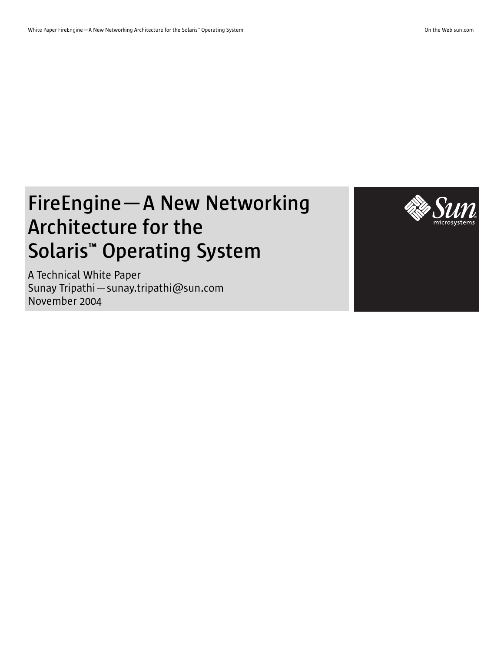# **FireEngine—A New Networking Architecture for the Solaris™ Operating System**

A Technical White Paper Sunay Tripathi—sunay.tripathi@sun.com November 2004

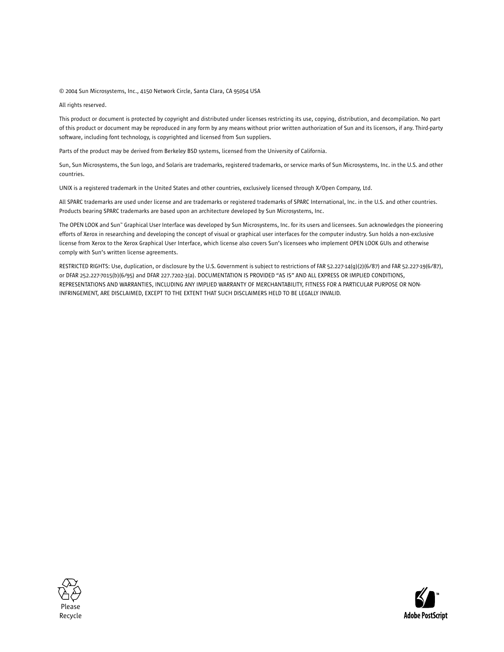© 2004 Sun Microsystems, Inc., 4150 Network Circle, Santa Clara, CA 95054 USA

All rights reserved.

This product or document is protected by copyright and distributed under licenses restricting its use, copying, distribution, and decompilation. No part of this product or document may be reproduced in any form by any means without prior written authorization of Sun and its licensors, if any. Third-party software, including font technology, is copyrighted and licensed from Sun suppliers.

Parts of the product may be derived from Berkeley BSD systems, licensed from the University of California.

Sun, Sun Microsystems, the Sun logo, and Solaris are trademarks, registered trademarks, or service marks of Sun Microsystems, Inc. in the U.S. and other countries.

UNIX is a registered trademark in the United States and other countries, exclusively licensed through X/Open Company, Ltd.

All SPARC trademarks are used under license and are trademarks or registered trademarks of SPARC International, Inc. in the U.S. and other countries. Products bearing SPARC trademarks are based upon an architecture developed by Sun Microsystems, Inc.

The OPEN LOOK and Sun™ Graphical User Interface was developed by Sun Microsystems, Inc. for its users and licensees. Sun acknowledges the pioneering efforts of Xerox in researching and developing the concept of visual or graphical user interfaces for the computer industry. Sun holds a non-exclusive license from Xerox to the Xerox Graphical User Interface, which license also covers Sun's licensees who implement OPEN LOOK GUIs and otherwise comply with Sun's written license agreements.

RESTRICTED RIGHTS: Use, duplication, or disclosure by the U.S. Government is subject to restrictions of FAR 52.227-14(g)(2)(6/87) and FAR 52.227-19(6/87), or DFAR 252.227-7015(b)(6/95) and DFAR 227.7202-3(a). DOCUMENTATION IS PROVIDED "AS IS" AND ALL EXPRESS OR IMPLIED CONDITIONS, REPRESENTATIONS AND WARRANTIES, INCLUDING ANY IMPLIED WARRANTY OF MERCHANTABILITY, FITNESS FOR A PARTICULAR PURPOSE OR NON-INFRINGEMENT, ARE DISCLAIMED, EXCEPT TO THE EXTENT THAT SUCH DISCLAIMERS HELD TO BE LEGALLY INVALID.



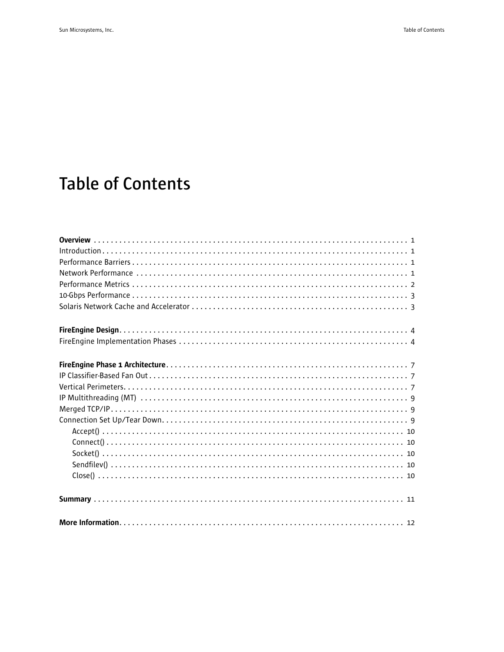## **Table of Contents**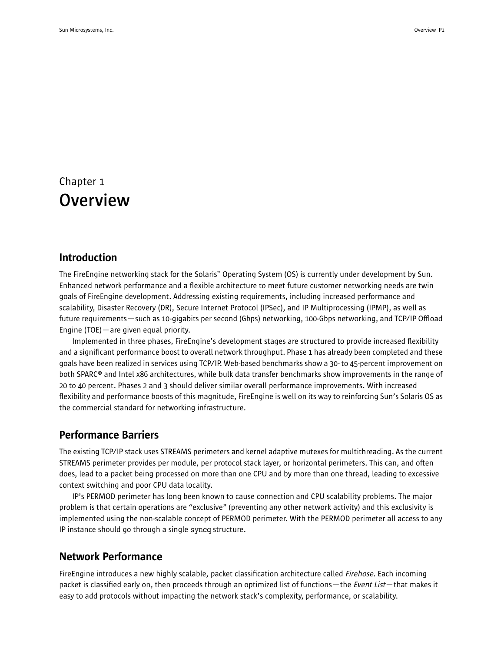## Chapter 1 **Overview**

### Introduction

The FireEngine networking stack for the Solaris™ Operating System (OS) is currently under development by Sun. Enhanced network performance and a flexible architecture to meet future customer networking needs are twin goals of FireEngine development. Addressing existing requirements, including increased performance and scalability, Disaster Recovery (DR), Secure Internet Protocol (IPSec), and IP Multiprocessing (IPMP), as well as future requirements—such as 10-gigabits per second (Gbps) networking, 100-Gbps networking, and TCP/IP Offload Engine (TOE)—are given equal priority.

Implemented in three phases, FireEngine's development stages are structured to provide increased flexibility and a significant performance boost to overall network throughput. Phase 1 has already been completed and these goals have been realized in services using TCP/IP. Web-based benchmarks show a 30- to 45-percent improvement on both SPARC® and Intel x86 architectures, while bulk data transfer benchmarks show improvements in the range of 20 to 40 percent. Phases 2 and 3 should deliver similar overall performance improvements. With increased flexibility and performance boosts of this magnitude, FireEngine is well on its way to reinforcing Sun's Solaris OS as the commercial standard for networking infrastructure.

#### Performance Barriers

The existing TCP/IP stack uses STREAMS perimeters and kernel adaptive mutexes for multithreading. As the current STREAMS perimeter provides per module, per protocol stack layer, or horizontal perimeters. This can, and often does, lead to a packet being processed on more than one CPU and by more than one thread, leading to excessive context switching and poor CPU data locality.

IP's PERMOD perimeter has long been known to cause connection and CPU scalability problems. The major problem is that certain operations are "exclusive" (preventing any other network activity) and this exclusivity is implemented using the non-scalable concept of PERMOD perimeter. With the PERMOD perimeter all access to any IP instance should go through a single syncq structure.

### Network Performance

FireEngine introduces a new highly scalable, packet classification architecture called Firehose. Each incoming packet is classified early on, then proceeds through an optimized list of functions—the Event List—that makes it easy to add protocols without impacting the network stack's complexity, performance, or scalability.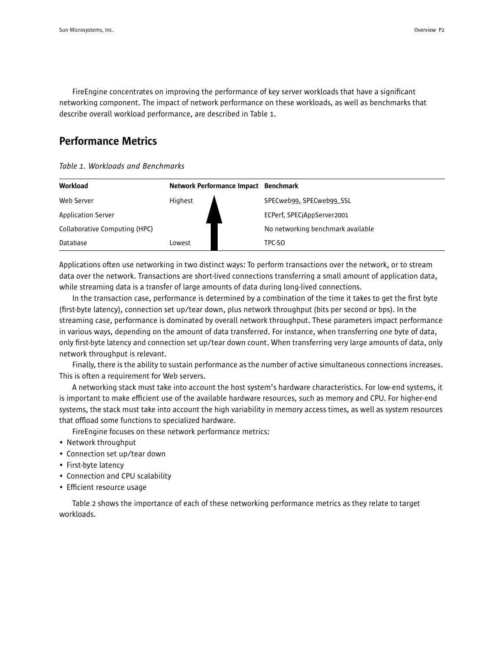FireEngine concentrates on improving the performance of key server workloads that have a significant networking component. The impact of network performance on these workloads, as well as benchmarks that describe overall workload performance, are described in Table 1.

### Performance Metrics

*Table 1. Workloads and Benchmarks*

| Workload                      | Network Performance Impact Benchmark |  |                                   |
|-------------------------------|--------------------------------------|--|-----------------------------------|
| Web Server                    | Highest                              |  | SPECweb99, SPECweb99_SSL          |
| <b>Application Server</b>     |                                      |  | ECPerf, SPECjAppServer2001        |
| Collaborative Computing (HPC) |                                      |  | No networking benchmark available |
| Database                      | Lowest                               |  | TPC-SO                            |

Applications often use networking in two distinct ways: To perform transactions over the network, or to stream data over the network. Transactions are short-lived connections transferring a small amount of application data, while streaming data is a transfer of large amounts of data during long-lived connections.

In the transaction case, performance is determined by a combination of the time it takes to get the first byte (first-byte latency), connection set up/tear down, plus network throughput (bits per second or bps). In the streaming case, performance is dominated by overall network throughput. These parameters impact performance in various ways, depending on the amount of data transferred. For instance, when transferring one byte of data, only first-byte latency and connection set up/tear down count. When transferring very large amounts of data, only network throughput is relevant.

Finally, there is the ability to sustain performance as the number of active simultaneous connections increases. This is often a requirement for Web servers.

A networking stack must take into account the host system's hardware characteristics. For low-end systems, it is important to make efficient use of the available hardware resources, such as memory and CPU. For higher-end systems, the stack must take into account the high variability in memory access times, as well as system resources that offload some functions to specialized hardware.

FireEngine focuses on these network performance metrics:

- Network throughput
- Connection set up/tear down
- First-byte latency
- Connection and CPU scalability
- Efficient resource usage

Table 2 shows the importance of each of these networking performance metrics as they relate to target workloads.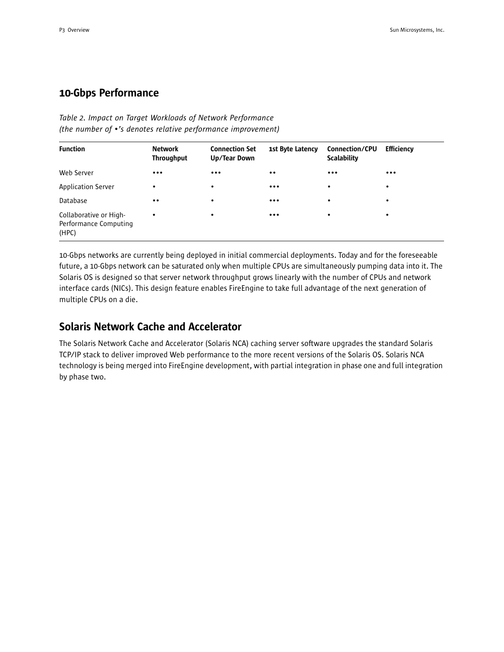## 10-Gbps Performance

#### *Table 2. Impact on Target Workloads of Network Performance (the number of •'s denotes relative performance improvement)*

| <b>Function</b>                                          | <b>Network</b><br><b>Throughput</b> | <b>Connection Set</b><br>Up/Tear Down | 1st Byte Latency        | Connection/CPU<br><b>Scalability</b> | <b>Efficiency</b> |
|----------------------------------------------------------|-------------------------------------|---------------------------------------|-------------------------|--------------------------------------|-------------------|
| Web Server                                               | $\bullet\bullet\bullet$             | $\cdots$                              | $\bullet\bullet$        | $\bullet\bullet\bullet$              | $\cdots$          |
| <b>Application Server</b>                                | $\bullet$                           | ٠                                     | $\bullet\bullet\bullet$ | ٠                                    | $\bullet$         |
| Database                                                 | $\bullet\bullet$                    | ٠                                     | $\bullet\bullet\bullet$ | ٠                                    | ٠                 |
| Collaborative or High-<br>Performance Computing<br>(HPC) | $\bullet$                           | ٠                                     | $\bullet\bullet\bullet$ | ٠                                    | ٠                 |

10-Gbps networks are currently being deployed in initial commercial deployments. Today and for the foreseeable future, a 10-Gbps network can be saturated only when multiple CPUs are simultaneously pumping data into it. The Solaris OS is designed so that server network throughput grows linearly with the number of CPUs and network interface cards (NICs). This design feature enables FireEngine to take full advantage of the next generation of multiple CPUs on a die.

### Solaris Network Cache and Accelerator

The Solaris Network Cache and Accelerator (Solaris NCA) caching server software upgrades the standard Solaris TCP/IP stack to deliver improved Web performance to the more recent versions of the Solaris OS. Solaris NCA technology is being merged into FireEngine development, with partial integration in phase one and full integration by phase two.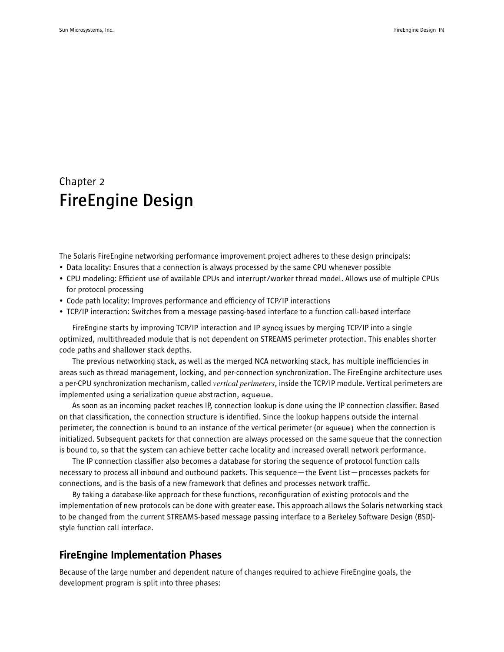## Chapter 2 **FireEngine Design**

The Solaris FireEngine networking performance improvement project adheres to these design principals:

- Data locality: Ensures that a connection is always processed by the same CPU whenever possible
- CPU modeling: Efficient use of available CPUs and interrupt/worker thread model. Allows use of multiple CPUs for protocol processing
- Code path locality: Improves performance and efficiency of TCP/IP interactions
- TCP/IP interaction: Switches from a message passing-based interface to a function call-based interface

FireEngine starts by improving TCP/IP interaction and IP syncq issues by merging TCP/IP into a single optimized, multithreaded module that is not dependent on STREAMS perimeter protection. This enables shorter code paths and shallower stack depths.

The previous networking stack, as well as the merged NCA networking stack, has multiple inefficiencies in areas such as thread management, locking, and per-connection synchronization. The FireEngine architecture uses a per-CPU synchronization mechanism, called *vertical perimeters*, inside the TCP/IP module. Vertical perimeters are implemented using a serialization queue abstraction, squeue.

As soon as an incoming packet reaches IP, connection lookup is done using the IP connection classifier. Based on that classification, the connection structure is identified. Since the lookup happens outside the internal perimeter, the connection is bound to an instance of the vertical perimeter (or squeue) when the connection is initialized. Subsequent packets for that connection are always processed on the same squeue that the connection is bound to, so that the system can achieve better cache locality and increased overall network performance.

The IP connection classifier also becomes a database for storing the sequence of protocol function calls necessary to process all inbound and outbound packets. This sequence—the Event List—processes packets for connections, and is the basis of a new framework that defines and processes network traffic.

By taking a database-like approach for these functions, reconfiguration of existing protocols and the implementation of new protocols can be done with greater ease. This approach allows the Solaris networking stack to be changed from the current STREAMS-based message passing interface to a Berkeley Software Design (BSD) style function call interface.

### FireEngine Implementation Phases

Because of the large number and dependent nature of changes required to achieve FireEngine goals, the development program is split into three phases: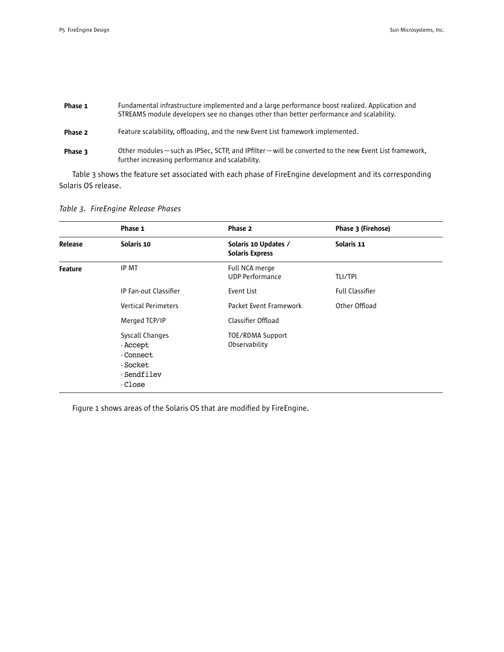| Phase 1 | Fundamental infrastructure implemented and a large performance boost realized. Application and<br>STREAMS module developers see no changes other than better performance and scalability. |
|---------|-------------------------------------------------------------------------------------------------------------------------------------------------------------------------------------------|
| Phase 2 | Feature scalability, offloading, and the new Event List framework implemented.                                                                                                            |
| Phase 3 | Other modules — such as IPSec, SCTP, and IPfilter — will be converted to the new Event List framework,<br>further increasing performance and scalability.                                 |

Table 3 shows the feature set associated with each phase of FireEngine development and its corresponding Solaris OS release.

*Table 3. FireEngine Release Phases*

|                | Phase 1                                                                       | Phase 2                                        | Phase 3 (Firehose)     |
|----------------|-------------------------------------------------------------------------------|------------------------------------------------|------------------------|
| Release        | Solaris 10                                                                    | Solaris 10 Updates /<br><b>Solaris Express</b> | Solaris 11             |
| <b>Feature</b> | IP MT                                                                         | Full NCA merge<br><b>UDP Performance</b>       | <b>TLI/TPI</b>         |
|                | IP Fan-out Classifier                                                         | Event List                                     | <b>Full Classifier</b> |
|                | <b>Vertical Perimeters</b>                                                    | Packet Event Framework                         | Other Offload          |
|                | Merged TCP/IP                                                                 | Classifier Offload                             |                        |
|                | Syscall Changes<br>- Accept<br>- Connect<br>- Socket<br>-Sendfilev<br>- Close | TOE/RDMA Support<br>Observability              |                        |

Figure 1 shows areas of the Solaris OS that are modified by FireEngine.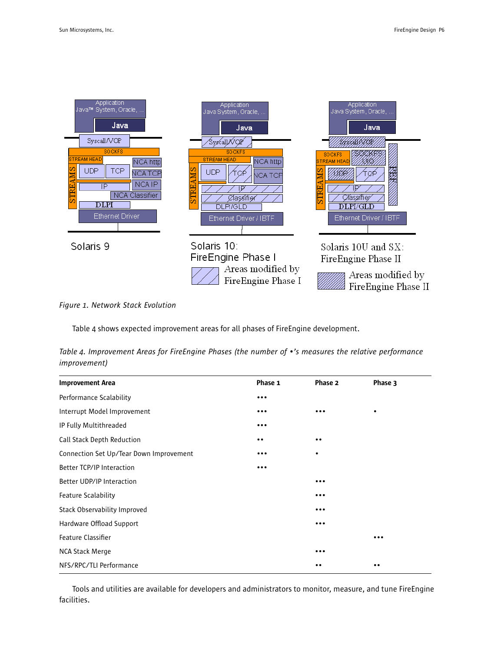| Application<br>Java™ System, Oracle,<br>Java<br>Syscall/VOP<br><b>SOCKFS</b><br><b>STREAM HEAD</b><br>NCA http<br>UDP<br>TCP<br>NCA TCP<br><b>NCAIP</b><br>ΙP<br>멶<br><b>NCA Classifier</b><br>$\overline{\rm D LPI}$<br><b>Ethernet Driver</b> | Application<br>Java System, Oracle,<br>Java<br>Syscall/VQP<br><b>SOCKFS</b><br><b>STREAM HEAD</b><br>NCA http<br>v.<br><b>UDP</b><br>NCA TCP<br>AM.<br>STRE<br>Ølaşsifier<br><b>DLPI/GLD</b><br>Ethernet Driver / IBTF | Application<br>Java System, Oracle,<br>Java<br><b>SOCKES</b><br><b>STREAM HEAD</b><br>汤<br>Σ<br>ન<br>STRE<br>IP<br>C⁄íassifier⁄<br>$\mathrm{DLPI/GLD}$<br>Ethernet Driver / IBTF |
|-------------------------------------------------------------------------------------------------------------------------------------------------------------------------------------------------------------------------------------------------|------------------------------------------------------------------------------------------------------------------------------------------------------------------------------------------------------------------------|----------------------------------------------------------------------------------------------------------------------------------------------------------------------------------|
| Solaris 9                                                                                                                                                                                                                                       | Solaris 10:<br>FireEngine Phase I<br>Areas modified by<br>FireEngine Phase I                                                                                                                                           | Solaris $10U$ and $SX$ :<br>FireEngine Phase II<br>Areas modified by<br>FireEngine Phase II                                                                                      |

*Figure 1. Network Stack Evolution*

Table 4 shows expected improvement areas for all phases of FireEngine development.

*Table 4. Improvement Areas for FireEngine Phases (the number of •'s measures the relative performance improvement)*

| <b>Improvement Area</b>                 | Phase 1                 | Phase 2                 | Phase 3                 |
|-----------------------------------------|-------------------------|-------------------------|-------------------------|
| Performance Scalability                 | $\cdots$                |                         |                         |
| Interrupt Model Improvement             | $\bullet\bullet\bullet$ | $\ddot{\phantom{a}}$    | ٠                       |
| IP Fully Multithreaded                  | $\bullet\bullet\bullet$ |                         |                         |
| Call Stack Depth Reduction              | $\bullet$               | $\bullet\bullet$        |                         |
| Connection Set Up/Tear Down Improvement | $\bullet\bullet\bullet$ | $\bullet$               |                         |
| Better TCP/IP Interaction               | $\bullet\bullet\bullet$ |                         |                         |
| Better UDP/IP Interaction               |                         | $\cdots$                |                         |
| <b>Feature Scalability</b>              |                         | $\bullet\bullet\bullet$ |                         |
| Stack Observability Improved            |                         | $\bullet\bullet\bullet$ |                         |
| Hardware Offload Support                |                         | $\cdots$                |                         |
| Feature Classifier                      |                         |                         | $\bullet\bullet\bullet$ |
| NCA Stack Merge                         |                         |                         |                         |
| NFS/RPC/TLI Performance                 |                         | $\cdot\cdot$            | $\bullet\bullet$        |

Tools and utilities are available for developers and administrators to monitor, measure, and tune FireEngine facilities.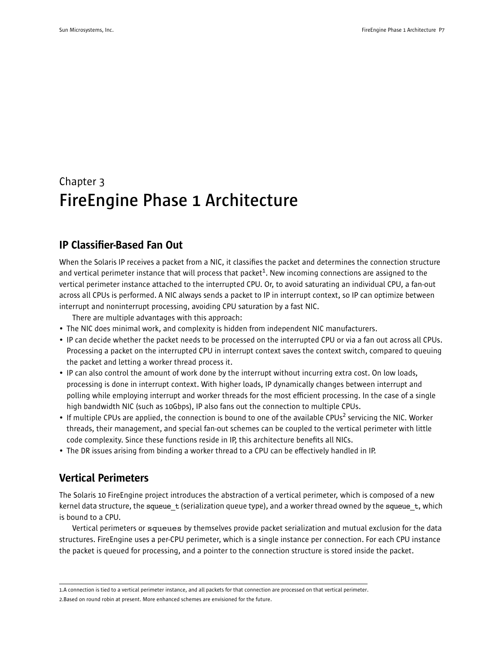## Chapter 3 **FireEngine Phase 1 Architecture**

## IP Classifier-Based Fan Out

When the Solaris IP receives a packet from a NIC, it classifies the packet and determines the connection structure and vertical perimeter instance that will process that packet<sup>1</sup>. New incoming connections are assigned to the vertical perimeter instance attached to the interrupted CPU. Or, to avoid saturating an individual CPU, a fan-out across all CPUs is performed. A NIC always sends a packet to IP in interrupt context, so IP can optimize between interrupt and noninterrupt processing, avoiding CPU saturation by a fast NIC.

There are multiple advantages with this approach:

- The NIC does minimal work, and complexity is hidden from independent NIC manufacturers.
- IP can decide whether the packet needs to be processed on the interrupted CPU or via a fan out across all CPUs. Processing a packet on the interrupted CPU in interrupt context saves the context switch, compared to queuing the packet and letting a worker thread process it.
- IP can also control the amount of work done by the interrupt without incurring extra cost. On low loads, processing is done in interrupt context. With higher loads, IP dynamically changes between interrupt and polling while employing interrupt and worker threads for the most efficient processing. In the case of a single high bandwidth NIC (such as 10Gbps), IP also fans out the connection to multiple CPUs.
- If multiple CPUs are applied, the connection is bound to one of the available CPUs<sup>2</sup> servicing the NIC. Worker threads, their management, and special fan-out schemes can be coupled to the vertical perimeter with little code complexity. Since these functions reside in IP, this architecture benefits all NICs.
- The DR issues arising from binding a worker thread to a CPU can be effectively handled in IP.

## Vertical Perimeters

The Solaris 10 FireEngine project introduces the abstraction of a vertical perimeter, which is composed of a new kernel data structure, the squeue  $t$  (serialization queue type), and a worker thread owned by the squeue  $t$ , which is bound to a CPU.

Vertical perimeters or squeues by themselves provide packet serialization and mutual exclusion for the data structures. FireEngine uses a per-CPU perimeter, which is a single instance per connection. For each CPU instance the packet is queued for processing, and a pointer to the connection structure is stored inside the packet.

<sup>1.</sup>A connection is tied to a vertical perimeter instance, and all packets for that connection are processed on that vertical perimeter. 2.Based on round robin at present. More enhanced schemes are envisioned for the future.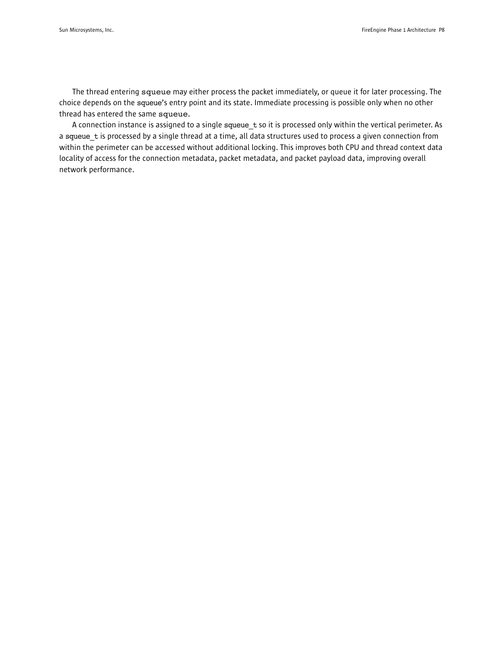The thread entering squeue may either process the packet immediately, or queue it for later processing. The choice depends on the squeue's entry point and its state. Immediate processing is possible only when no other thread has entered the same squeue.

A connection instance is assigned to a single squeue t so it is processed only within the vertical perimeter. As a squeue t is processed by a single thread at a time, all data structures used to process a given connection from within the perimeter can be accessed without additional locking. This improves both CPU and thread context data locality of access for the connection metadata, packet metadata, and packet payload data, improving overall network performance.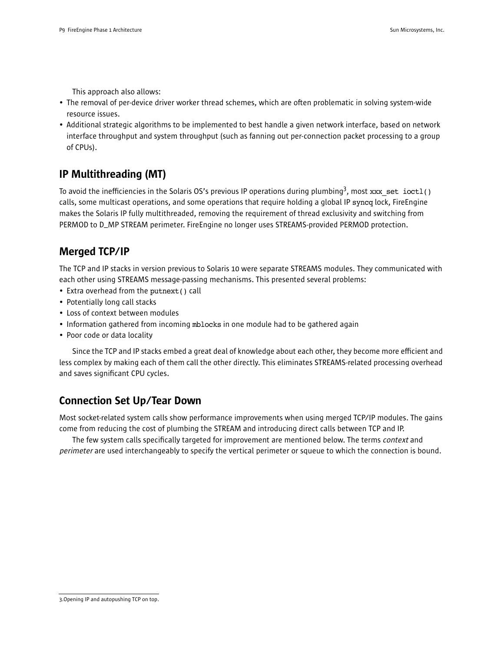This approach also allows:

- The removal of per-device driver worker thread schemes, which are often problematic in solving system-wide resource issues.
- Additional strategic algorithms to be implemented to best handle a given network interface, based on network interface throughput and system throughput (such as fanning out per-connection packet processing to a group of CPUs).

## IP Multithreading (MT)

To avoid the inefficiencies in the Solaris OS's previous IP operations during plumbing<sup>3</sup>, most xxx\_set ioct1() calls, some multicast operations, and some operations that require holding a global IP syncq lock, FireEngine makes the Solaris IP fully multithreaded, removing the requirement of thread exclusivity and switching from PERMOD to D\_MP STREAM perimeter. FireEngine no longer uses STREAMS-provided PERMOD protection.

## Merged TCP/IP

The TCP and IP stacks in version previous to Solaris 10 were separate STREAMS modules. They communicated with each other using STREAMS message-passing mechanisms. This presented several problems:

- Extra overhead from the putnext() call
- Potentially long call stacks
- Loss of context between modules
- Information gathered from incoming mblocks in one module had to be gathered again
- Poor code or data locality

Since the TCP and IP stacks embed a great deal of knowledge about each other, they become more efficient and less complex by making each of them call the other directly. This eliminates STREAMS-related processing overhead and saves significant CPU cycles.

## Connection Set Up/Tear Down

Most socket-related system calls show performance improvements when using merged TCP/IP modules. The gains come from reducing the cost of plumbing the STREAM and introducing direct calls between TCP and IP.

The few system calls specifically targeted for improvement are mentioned below. The terms *context* and perimeter are used interchangeably to specify the vertical perimeter or squeue to which the connection is bound.

<sup>3.</sup>Opening IP and autopushing TCP on top.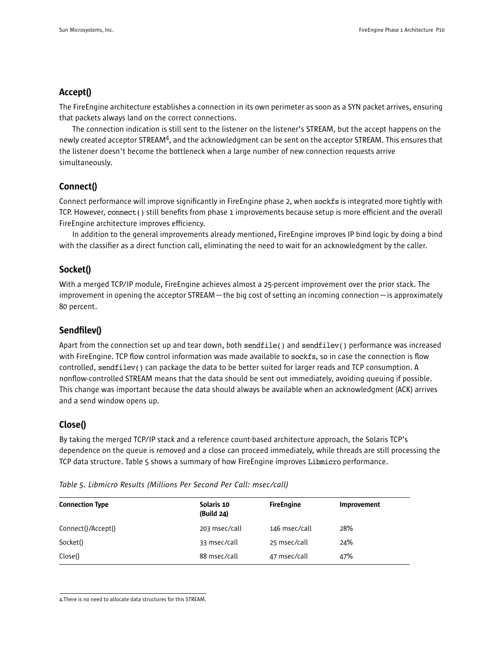#### Accept()

The FireEngine architecture establishes a connection in its own perimeter as soon as a SYN packet arrives, ensuring that packets always land on the correct connections.

The connection indication is still sent to the listener on the listener's STREAM, but the accept happens on the newly created acceptor STREAM<sup>4</sup>, and the acknowledgment can be sent on the acceptor STREAM. This ensures that the listener doesn't become the bottleneck when a large number of new connection requests arrive simultaneously.

### Connect()

Connect performance will improve significantly in FireEngine phase 2, when sockfs is integrated more tightly with TCP. However, connect() still benefits from phase 1 improvements because setup is more efficient and the overall FireEngine architecture improves efficiency.

In addition to the general improvements already mentioned, FireEngine improves IP bind logic by doing a bind with the classifier as a direct function call, eliminating the need to wait for an acknowledgment by the caller.

#### Socket()

With a merged TCP/IP module, FireEngine achieves almost a 25-percent improvement over the prior stack. The improvement in opening the acceptor STREAM—the big cost of setting an incoming connection—is approximately 80 percent.

### Sendfilev()

Apart from the connection set up and tear down, both sendfile() and sendfilev() performance was increased with FireEngine. TCP flow control information was made available to sockfs, so in case the connection is flow controlled, sendfilev() can package the data to be better suited for larger reads and TCP consumption. A nonflow-controlled STREAM means that the data should be sent out immediately, avoiding queuing if possible. This change was important because the data should always be available when an acknowledgment (ACK) arrives and a send window opens up.

### Close()

By taking the merged TCP/IP stack and a reference count-based architecture approach, the Solaris TCP's dependence on the queue is removed and a close can proceed immediately, while threads are still processing the TCP data structure. Table 5 shows a summary of how FireEngine improves Libmicro performance.

| <b>Connection Type</b> | Solaris 10<br>(Build 24) | <b>FireEngine</b> | Improvement |  |
|------------------------|--------------------------|-------------------|-------------|--|
| Connect()/Accept()     | 203 msec/call            | 146 msec/call     | 28%         |  |
| Socket()               | 33 msec/call             | 25 msec/call      | 24%         |  |
| Close()                | 88 msec/call             | 47 msec/call      | 47%         |  |
|                        |                          |                   |             |  |

*Table 5. Libmicro Results (Millions Per Second Per Call: msec/call)*

4.There is no need to allocate data structures for this STREAM.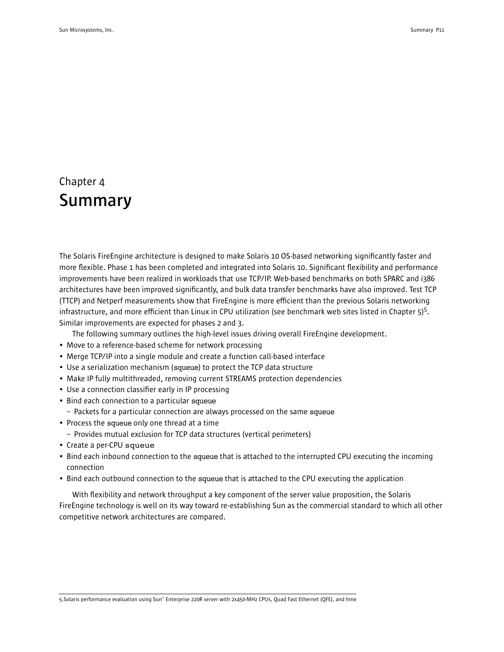## Chapter 4 **Summary**

The Solaris FireEngine architecture is designed to make Solaris 10 OS-based networking significantly faster and more flexible. Phase 1 has been completed and integrated into Solaris 10. Significant flexibility and performance improvements have been realized in workloads that use TCP/IP. Web-based benchmarks on both SPARC and i386 architectures have been improved significantly, and bulk data transfer benchmarks have also improved. Test TCP (TTCP) and Netperf measurements show that FireEngine is more efficient than the previous Solaris networking infrastructure, and more efficient than Linux in CPU utilization (see benchmark web sites listed in Chapter 5)<sup>5</sup>. Similar improvements are expected for phases 2 and 3.

The following summary outlines the high-level issues driving overall FireEngine development.

- Move to a reference-based scheme for network processing
- Merge TCP/IP into a single module and create a function call-based interface
- Use a serialization mechanism (squeue) to protect the TCP data structure
- Make IP fully multithreaded, removing current STREAMS protection dependencies
- Use a connection classifier early in IP processing
- Bind each connection to a particular squeue
	- Packets for a particular connection are always processed on the same squeue
- Process the squeue only one thread at a time
	- Provides mutual exclusion for TCP data structures (vertical perimeters)
- Create a per-CPU squeue
- Bind each inbound connection to the squeue that is attached to the interrupted CPU executing the incoming connection
- Bind each outbound connection to the squeue that is attached to the CPU executing the application

With flexibility and network throughput a key component of the server value proposition, the Solaris FireEngine technology is well on its way toward re-establishing Sun as the commercial standard to which all other competitive network architectures are compared.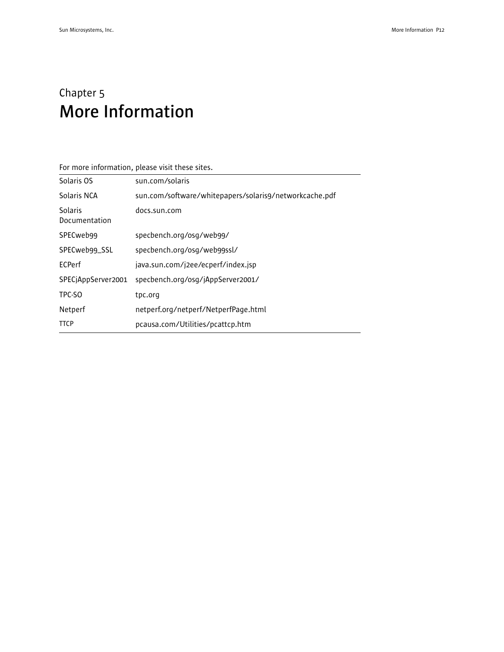## Chapter 5 **More Information**